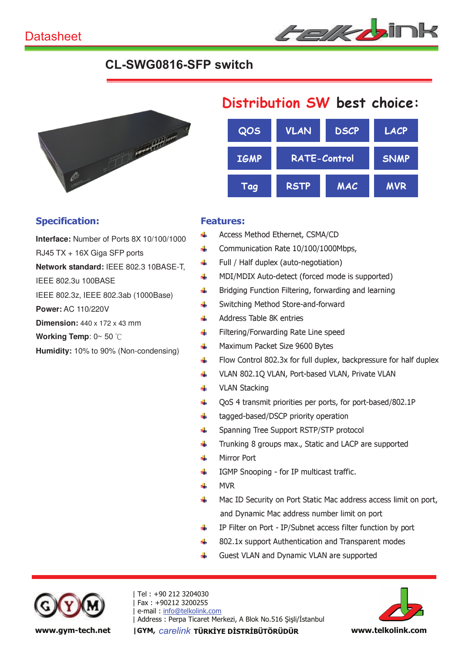

## **CL-SWG0816-SFP switch**



### Specification:

**Interface:** Number of Ports 8X 10/100/1000

RJ45 TX + 16X Giga SFP ports

**Network standard:** IEEE 802.3 10BASE-T,

IEEE 802.3u 100BASE

IEEE 802.3z, IEEE 802.3ab (1000Base)

**Power:** AC 110/220V

**Dimension:** 440 x 172 x 43 mm

**Working Temp**: 0~ 50

**Humidity:** 10% to 90% (Non-condensing)

# Distribution SW best choice:

| QOS         | <b>VLAN</b>         | <b>DSCP</b> | <b>LACP</b> |
|-------------|---------------------|-------------|-------------|
| <b>IGMP</b> | <b>RATE-Control</b> |             | <b>SNMP</b> |
| Tag         | <b>RSTP</b>         | MAC         | <b>MVR</b>  |

### Features:

- d. Access Method Ethernet, CSMA/CD
- Communication Rate 10/100/1000Mbps,  $\frac{1}{2}$
- Full / Half duplex (auto-negotiation) ÷
- $\ddot{\phantom{a}}$ MDI/MDIX Auto-detect (forced mode is supported)
- d. Bridging Function Filtering, forwarding and learning
- Switching Method Store-and-forward 4
- Address Table 8K entries 4.
- Filtering/Forwarding Rate Line speed 4
- all. Maximum Packet Size 9600 Bytes
- 4. Flow Control 802.3x for full duplex, backpressure for half duplex
- d. VLAN 802.1Q VLAN, Port-based VLAN, Private VLAN
- VLAN Stacking 辈
- QoS 4 transmit priorities per ports, for port-based/802.1P 4
- ÷ tagged-based/DSCP priority operation
- Spanning Tree Support RSTP/STP protocol ۸Ļ.
- Trunking 8 groups max., Static and LACP are supported ₩
- Mirror Port a.
- IGMP Snooping for IP multicast traffic. 4
- ÷ MVR
- Mac ID Security on Port Static Mac address access limit on port, 业 and Dynamic Mac address number limit on port
- ÷ IP Filter on Port - IP/Subnet access filter function by port
- 802.1x support Authentication and Transparent modes 4
- Guest VLAN and Dynamic VLAN are supported 事



| Tel : +90 212 3204030 | Fax : +90212 3200255 e-mail: info@telkolink.com | Address : Perpa Ticaret Merkezi, A Blok No.516 Şişli/İstanbul www.gym-tech.net | GYM, carelink TÜRKİYE DİSTRİBÜTÖRÜDÜR